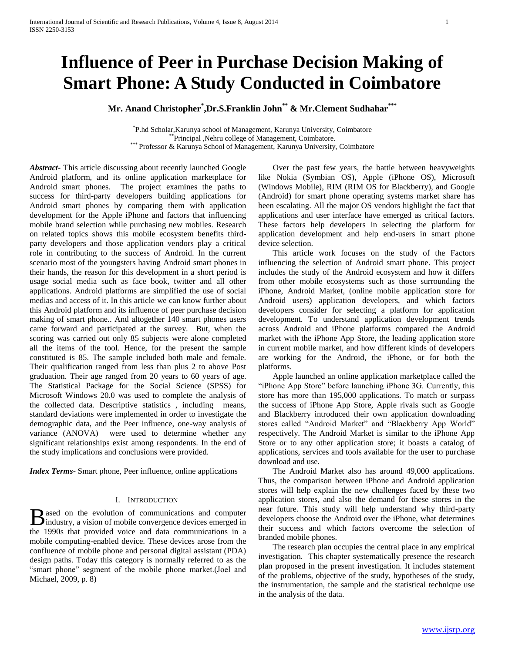# **Influence of Peer in Purchase Decision Making of Smart Phone: A Study Conducted in Coimbatore**

**Mr. Anand Christopher\* ,Dr.S.Franklin John\*\* & Mr.Clement Sudhahar\*\*\***

\* P.hd Scholar,Karunya school of Management, Karunya University, Coimbatore Principal ,Nehru college of Management, Coimbatore. \*\*\* Professor & Karunya School of Management, Karunya University, Coimbatore

*Abstract***-** This article discussing about recently launched Google Android platform, and its online application marketplace for Android smart phones. The project examines the paths to success for third-party developers building applications for Android smart phones by comparing them with application development for the Apple iPhone and factors that influencing mobile brand selection while purchasing new mobiles. Research on related topics shows this mobile ecosystem benefits thirdparty developers and those application vendors play a critical role in contributing to the success of Android. In the current scenario most of the youngsters having Android smart phones in their hands, the reason for this development in a short period is usage social media such as face book, twitter and all other applications. Android platforms are simplified the use of social medias and access of it. In this article we can know further about this Android platform and its influence of peer purchase decision making of smart phone.. And altogether 140 smart phones users came forward and participated at the survey. But, when the scoring was carried out only 85 subjects were alone completed all the items of the tool. Hence, for the present the sample constituted is 85. The sample included both male and female. Their qualification ranged from less than plus 2 to above Post graduation. Their age ranged from 20 years to 60 years of age. The Statistical Package for the Social Science (SPSS) for Microsoft Windows 20.0 was used to complete the analysis of the collected data. Descriptive statistics , including means, standard deviations were implemented in order to investigate the demographic data, and the Peer influence, one-way analysis of variance (ANOVA) were used to determine whether any significant relationships exist among respondents. In the end of the study implications and conclusions were provided.

*Index Terms*- Smart phone, Peer influence, online applications

## I. INTRODUCTION

ased on the evolution of communications and computer **B** ased on the evolution of communications and computer industry, a vision of mobile convergence devices emerged in the 1990s that provided voice and data communications in a mobile computing-enabled device. These devices arose from the confluence of mobile phone and personal digital assistant (PDA) design paths. Today this category is normally referred to as the "smart phone" segment of the mobile phone market.(Joel and Michael, 2009, p. 8)

 Over the past few years, the battle between heavyweights like Nokia (Symbian OS), Apple (iPhone OS), Microsoft (Windows Mobile), RIM (RIM OS for Blackberry), and Google (Android) for smart phone operating systems market share has been escalating. All the major OS vendors highlight the fact that applications and user interface have emerged as critical factors. These factors help developers in selecting the platform for application development and help end-users in smart phone device selection.

 This article work focuses on the study of the Factors influencing the selection of Android smart phone. This project includes the study of the Android ecosystem and how it differs from other mobile ecosystems such as those surrounding the iPhone, Android Market, (online mobile application store for Android users) application developers, and which factors developers consider for selecting a platform for application development. To understand application development trends across Android and iPhone platforms compared the Android market with the iPhone App Store, the leading application store in current mobile market, and how different kinds of developers are working for the Android, the iPhone, or for both the platforms.

 Apple launched an online application marketplace called the "iPhone App Store" before launching iPhone 3G. Currently, this store has more than 195,000 applications. To match or surpass the success of iPhone App Store, Apple rivals such as Google and Blackberry introduced their own application downloading stores called "Android Market" and "Blackberry App World" respectively. The Android Market is similar to the iPhone App Store or to any other application store; it boasts a catalog of applications, services and tools available for the user to purchase download and use.

 The Android Market also has around 49,000 applications. Thus, the comparison between iPhone and Android application stores will help explain the new challenges faced by these two application stores, and also the demand for these stores in the near future. This study will help understand why third-party developers choose the Android over the iPhone, what determines their success and which factors overcome the selection of branded mobile phones.

 The research plan occupies the central place in any empirical investigation. This chapter systematically presence the research plan proposed in the present investigation. It includes statement of the problems, objective of the study, hypotheses of the study, the instrumentation, the sample and the statistical technique use in the analysis of the data.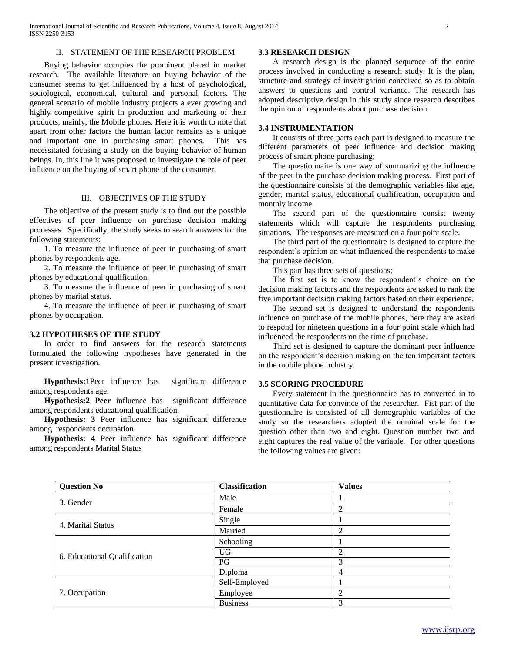## II. STATEMENT OF THE RESEARCH PROBLEM

 Buying behavior occupies the prominent placed in market research. The available literature on buying behavior of the consumer seems to get influenced by a host of psychological, sociological, economical, cultural and personal factors. The general scenario of mobile industry projects a ever growing and highly competitive spirit in production and marketing of their products, mainly, the Mobile phones. Here it is worth to note that apart from other factors the human factor remains as a unique and important one in purchasing smart phones. This has necessitated focusing a study on the buying behavior of human beings. In, this line it was proposed to investigate the role of peer influence on the buying of smart phone of the consumer.

## III. OBJECTIVES OF THE STUDY

 The objective of the present study is to find out the possible effectives of peer influence on purchase decision making processes. Specifically, the study seeks to search answers for the following statements:

 1. To measure the influence of peer in purchasing of smart phones by respondents age.

 2. To measure the influence of peer in purchasing of smart phones by educational qualification.

 3. To measure the influence of peer in purchasing of smart phones by marital status.

 4. To measure the influence of peer in purchasing of smart phones by occupation.

## **3.2 HYPOTHESES OF THE STUDY**

 In order to find answers for the research statements formulated the following hypotheses have generated in the present investigation.

 **Hypothesis:1**Peer influence has significant difference among respondents age.

 **Hypothesis:2 Peer** influence has significant difference among respondents educational qualification.

 **Hypothesis: 3** Peer influence has significant difference among respondents occupation.

 **Hypothesis: 4** Peer influence has significant difference among respondents Marital Status

## **3.3 RESEARCH DESIGN**

 A research design is the planned sequence of the entire process involved in conducting a research study. It is the plan, structure and strategy of investigation conceived so as to obtain answers to questions and control variance. The research has adopted descriptive design in this study since research describes the opinion of respondents about purchase decision.

#### **3.4 INSTRUMENTATION**

 It consists of three parts each part is designed to measure the different parameters of peer influence and decision making process of smart phone purchasing;

 The questionnaire is one way of summarizing the influence of the peer in the purchase decision making process. First part of the questionnaire consists of the demographic variables like age, gender, marital status, educational qualification, occupation and monthly income.

 The second part of the questionnaire consist twenty statements which will capture the respondents purchasing situations. The responses are measured on a four point scale.

 The third part of the questionnaire is designed to capture the respondent's opinion on what influenced the respondents to make that purchase decision.

This part has three sets of questions;

 The first set is to know the respondent's choice on the decision making factors and the respondents are asked to rank the five important decision making factors based on their experience.

 The second set is designed to understand the respondents influence on purchase of the mobile phones, here they are asked to respond for nineteen questions in a four point scale which had influenced the respondents on the time of purchase.

 Third set is designed to capture the dominant peer influence on the respondent's decision making on the ten important factors in the mobile phone industry.

## **3.5 SCORING PROCEDURE**

 Every statement in the questionnaire has to converted in to quantitative data for convince of the researcher. Fist part of the questionnaire is consisted of all demographic variables of the study so the researchers adopted the nominal scale for the question other than two and eight. Question number two and eight captures the real value of the variable. For other questions the following values are given:

| <b>Question No</b>           | <b>Classification</b> | <b>Values</b>  |
|------------------------------|-----------------------|----------------|
| 3. Gender                    | Male                  |                |
|                              | Female                | 2              |
| 4. Marital Status            | Single                |                |
|                              | Married               | $\overline{2}$ |
|                              | Schooling             |                |
| 6. Educational Qualification | <b>UG</b>             | $\overline{2}$ |
|                              | PG                    | 3              |
|                              | Diploma               | 4              |
|                              | Self-Employed         |                |
| 7. Occupation                | Employee              | $\overline{c}$ |
|                              | <b>Business</b>       | 3              |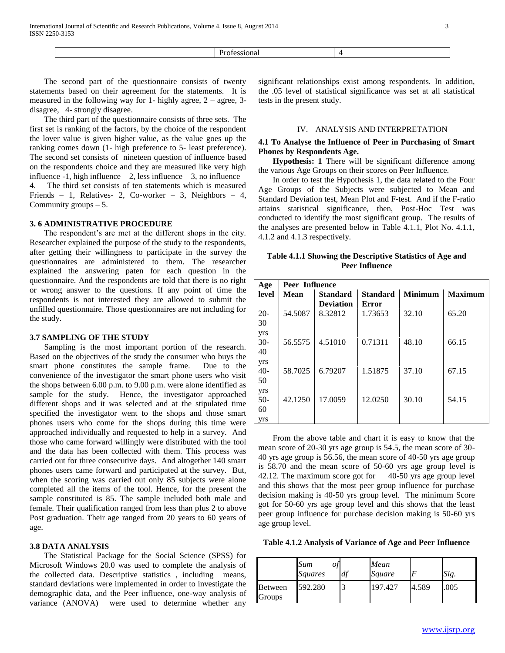Professional 4

 The second part of the questionnaire consists of twenty statements based on their agreement for the statements. It is measured in the following way for 1- highly agree, 2 – agree, 3 disagree, 4- strongly disagree.

 The third part of the questionnaire consists of three sets. The first set is ranking of the factors, by the choice of the respondent the lover value is given higher value, as the value goes up the ranking comes down (1- high preference to 5- least preference). The second set consists of nineteen question of influence based on the respondents choice and they are measured like very high influence -1, high influence  $-2$ , less influence  $-3$ , no influence  $-$ 4. The third set consists of ten statements which is measured Friends – 1, Relatives- 2, Co-worker – 3, Neighbors – 4, Community groups – 5.

## **3. 6 ADMINISTRATIVE PROCEDURE**

 The respondent's are met at the different shops in the city. Researcher explained the purpose of the study to the respondents, after getting their willingness to participate in the survey the questionnaires are administered to them. The researcher explained the answering paten for each question in the questionnaire. And the respondents are told that there is no right or wrong answer to the questions. If any point of time the respondents is not interested they are allowed to submit the unfilled questionnaire. Those questionnaires are not including for the study.

#### **3.7 SAMPLING OF THE STUDY**

 Sampling is the most important portion of the research. Based on the objectives of the study the consumer who buys the smart phone constitutes the sample frame. Due to the convenience of the investigator the smart phone users who visit the shops between 6.00 p.m. to 9.00 p.m. were alone identified as sample for the study. Hence, the investigator approached different shops and it was selected and at the stipulated time specified the investigator went to the shops and those smart phones users who come for the shops during this time were approached individually and requested to help in a survey. And those who came forward willingly were distributed with the tool and the data has been collected with them. This process was carried out for three consecutive days. And altogether 140 smart phones users came forward and participated at the survey. But, when the scoring was carried out only 85 subjects were alone completed all the items of the tool. Hence, for the present the sample constituted is 85. The sample included both male and female. Their qualification ranged from less than plus 2 to above Post graduation. Their age ranged from 20 years to 60 years of age.

## **3.8 DATA ANALYSIS**

 The Statistical Package for the Social Science (SPSS) for Microsoft Windows 20.0 was used to complete the analysis of the collected data. Descriptive statistics , including means, standard deviations were implemented in order to investigate the demographic data, and the Peer influence, one-way analysis of variance (ANOVA) were used to determine whether any significant relationships exist among respondents. In addition, the .05 level of statistical significance was set at all statistical tests in the present study.

#### IV. ANALYSIS AND INTERPRETATION

# **4.1 To Analyse the Influence of Peer in Purchasing of Smart Phones by Respondents Age.**

 **Hypothesis: 1** There will be significant difference among the various Age Groups on their scores on Peer Influence.

 In order to test the Hypothesis 1, the data related to the Four Age Groups of the Subjects were subjected to Mean and Standard Deviation test, Mean Plot and F-test. And if the F-ratio attains statistical significance, then, Post-Hoc Test was conducted to identify the most significant group. The results of the analyses are presented below in Table 4.1.1, Plot No. 4.1.1, 4.1.2 and 4.1.3 respectively.

# **Table 4.1.1 Showing the Descriptive Statistics of Age and Peer Influence**

| Age   | <b>Peer Influence</b> |                  |                 |                |                |
|-------|-----------------------|------------------|-----------------|----------------|----------------|
| level | <b>Mean</b>           | <b>Standard</b>  | <b>Standard</b> | <b>Minimum</b> | <b>Maximum</b> |
|       |                       | <b>Deviation</b> | Error           |                |                |
| $20-$ | 54.5087               | 8.32812          | 1.73653         | 32.10          | 65.20          |
| 30    |                       |                  |                 |                |                |
| yrs   |                       |                  |                 |                |                |
| $30-$ | 56.5575               | 4.51010          | 0.71311         | 48.10          | 66.15          |
| 40    |                       |                  |                 |                |                |
| yrs   |                       |                  |                 |                |                |
| $40-$ | 58.7025               | 6.79207          | 1.51875         | 37.10          | 67.15          |
| 50    |                       |                  |                 |                |                |
| yrs   |                       |                  |                 |                |                |
| $50-$ | 42.1250               | 17.0059          | 12.0250         | 30.10          | 54.15          |
| 60    |                       |                  |                 |                |                |
| yrs   |                       |                  |                 |                |                |

 From the above table and chart it is easy to know that the mean score of 20-30 yrs age group is 54.5, the mean score of 30- 40 yrs age group is 56.56, the mean score of 40-50 yrs age group is 58.70 and the mean score of 50-60 yrs age group level is 42.12. The maximum score got for 40-50 yrs age group level and this shows that the most peer group influence for purchase decision making is 40-50 yrs group level. The minimum Score got for 50-60 yrs age group level and this shows that the least peer group influence for purchase decision making is 50-60 yrs age group level.

**Table 4.1.2 Analysis of Variance of Age and Peer Influence**

|                   | Sum<br>0ţ<br><i>Squares</i> | df | Mean<br>Square |       | Sig. |
|-------------------|-----------------------------|----|----------------|-------|------|
| Between<br>Groups | 592.280                     |    | 197.427        | 4.589 | .005 |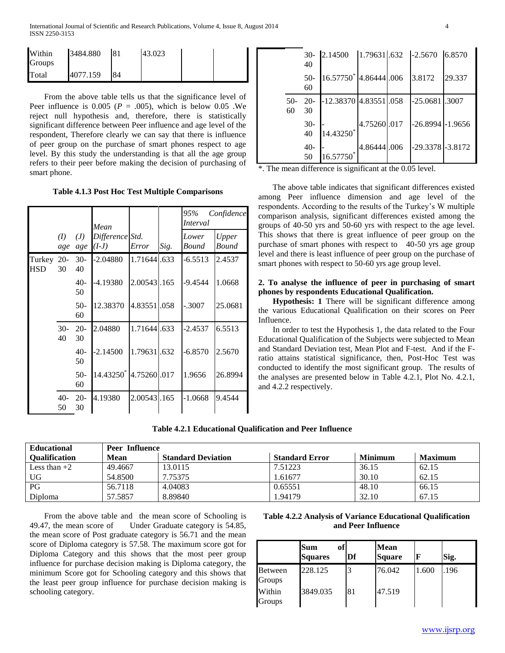| Within<br>Groups | 3484.880 | 181 | 43.023 |  |
|------------------|----------|-----|--------|--|
| Total            | 4077.159 | 84  |        |  |

 From the above table tells us that the significance level of Peer influence is  $0.005$  ( $P = .005$ ), which is below 0.05 .We reject null hypothesis and, therefore, there is statistically significant difference between Peer influence and age level of the respondent, Therefore clearly we can say that there is influence of peer group on the purchase of smart phones respect to age level. By this study the understanding is that all the age group refers to their peer before making the decision of purchasing of smart phone.

**Table 4.1.3 Post Hoc Test Multiple Comparisons**

|                          |             |              | Mean                       |             |      | 95%<br><i>Interval</i> | Confidence     |
|--------------------------|-------------|--------------|----------------------------|-------------|------|------------------------|----------------|
|                          | (I)<br>age  | (J)<br>age   | Difference Std.<br>$(I-J)$ | Error       | Sig. | Lower<br>Bound         | Upper<br>Bound |
| Turkey 20-<br><b>HSD</b> | 30          | $30-$<br>40  | $-2.04880$                 | 1.71644.633 |      | $-6.5513$              | 2.4537         |
|                          |             | $40-$<br>50  | -4.19380                   | 2.00543.165 |      | -9.4544                | 1.0668         |
|                          |             | $50-$<br>60  | 12.38370                   | 4.83551.058 |      | $-.3007$               | 25.0681        |
|                          | $30-$<br>40 | $20 -$<br>30 | 2.04880                    | 1.71644.633 |      | $-2.4537$              | 6.5513         |
|                          |             | $40-$<br>50  | $-2.14500$                 | 1.79631.632 |      | $-6.8570$              | 2.5670         |
|                          |             | $50-$<br>60  | 14.43250                   | 4.75260.017 |      | 1.9656                 | 26.8994        |
|                          | $40-$<br>50 | $20-$<br>30  | 4.19380                    | 2.00543.165 |      | -1.0668                | 9.4544         |

|           | $30-$<br>40 | 2.14500                |             | 1.79631.632 -2.5670 6.8570 |        |
|-----------|-------------|------------------------|-------------|----------------------------|--------|
|           | $50-$<br>60 | 16.57750 4.86444 .006  |             | 3.8172                     | 29.337 |
| 50-<br>60 | $20-$<br>30 | -12.38370 4.83551 .058 |             | $-25.0681$ .3007           |        |
|           | $30-$<br>40 | 14.43250*              | 4.75260.017 | $-26.8994$ $-1.9656$       |        |
|           | $40-$<br>50 | 16.57750*              | 4.86444.006 | $-29.3378$ $-3.8172$       |        |

\*. The mean difference is significant at the 0.05 level.

 The above table indicates that significant differences existed among Peer influence dimension and age level of the respondents. According to the results of the Turkey's W multiple comparison analysis, significant differences existed among the groups of 40-50 yrs and 50-60 yrs with respect to the age level. This shows that there is great influence of peer group on the purchase of smart phones with respect to 40-50 yrs age group level and there is least influence of peer group on the purchase of smart phones with respect to 50-60 yrs age group level.

# **2. To analyse the influence of peer in purchasing of smart phones by respondents Educational Qualification.**

 **Hypothesis: 1** There will be significant difference among the various Educational Qualification on their scores on Peer Influence.

 In order to test the Hypothesis 1, the data related to the Four Educational Qualification of the Subjects were subjected to Mean and Standard Deviation test, Mean Plot and F-test. And if the Fratio attains statistical significance, then, Post-Hoc Test was conducted to identify the most significant group. The results of the analyses are presented below in Table 4.2.1, Plot No. 4.2.1, and 4.2.2 respectively.

| Table 4.2.1 Educational Qualification and Peer Influence |  |  |
|----------------------------------------------------------|--|--|
|----------------------------------------------------------|--|--|

| <b>Educational</b>   | <b>Peer Influence</b> |                           |                       |                |                |  |
|----------------------|-----------------------|---------------------------|-----------------------|----------------|----------------|--|
| <b>Qualification</b> | Mean                  | <b>Standard Deviation</b> | <b>Standard Error</b> | <b>Minimum</b> | <b>Maximum</b> |  |
| Less than $+2$       | 49.4667               | 13.0115                   | 7.51223               | 36.15          | 62.15          |  |
| <b>UG</b>            | 54.8500               | 7.75375                   | 1.61677               | 30.10          | 62.15          |  |
| PG                   | 56.7118               | 4.04083                   | 0.65551               | 48.10          | 66.15          |  |
| Diploma              | 57.5857               | 8.89840                   | .94179                | 32.10          | 67.15          |  |

 From the above table and the mean score of Schooling is 49.47, the mean score of Under Graduate category is 54.85, the mean score of Post graduate category is 56.71 and the mean score of Diploma category is 57.58. The maximum score got for Diploma Category and this shows that the most peer group influence for purchase decision making is Diploma category, the minimum Score got for Schooling category and this shows that the least peer group influence for purchase decision making is schooling category.

# **Table 4.2.2 Analysis of Variance Educational Qualification and Peer Influence**

|                         | of<br>Sum<br><b>Squares</b> | Df | <b>Mean</b><br><b>Square</b> |       | Sig. |
|-------------------------|-----------------------------|----|------------------------------|-------|------|
| Between<br>Groups       | 228.125                     |    | 76.042                       | 1.600 | .196 |
| Within<br><b>Groups</b> | 3849.035                    | 81 | 47.519                       |       |      |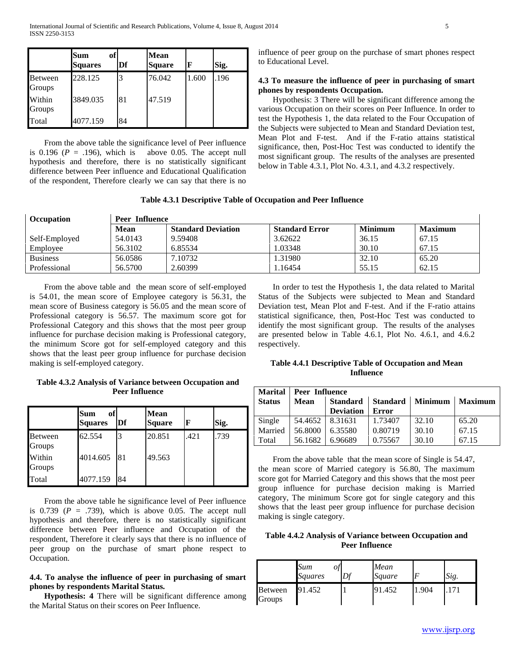|                          | of<br>Sum<br><b>Squares</b> | Df | <b>Mean</b><br><b>Square</b> | F     | Sig. |
|--------------------------|-----------------------------|----|------------------------------|-------|------|
| <b>Between</b><br>Groups | 228.125                     |    | 76.042                       | 1.600 | .196 |
| Within<br>Groups         | 3849.035                    | 81 | 47.519                       |       |      |
| Total                    | 4077.159                    | 84 |                              |       |      |

 From the above table the significance level of Peer influence is  $0.196$  ( $P = .196$ ), which is above 0.05. The accept null hypothesis and therefore, there is no statistically significant difference between Peer influence and Educational Qualification of the respondent, Therefore clearly we can say that there is no influence of peer group on the purchase of smart phones respect to Educational Level.

# **4.3 To measure the influence of peer in purchasing of smart phones by respondents Occupation.**

 Hypothesis: 3 There will be significant difference among the various Occupation on their scores on Peer Influence. In order to test the Hypothesis 1, the data related to the Four Occupation of the Subjects were subjected to Mean and Standard Deviation test, Mean Plot and F-test. And if the F-ratio attains statistical significance, then, Post-Hoc Test was conducted to identify the most significant group. The results of the analyses are presented below in Table 4.3.1, Plot No. 4.3.1, and 4.3.2 respectively.

# **Table 4.3.1 Descriptive Table of Occupation and Peer Influence**

| <b>Occupation</b> | <b>Peer Influence</b> |                           |                       |                |                |  |  |
|-------------------|-----------------------|---------------------------|-----------------------|----------------|----------------|--|--|
|                   | Mean                  | <b>Standard Deviation</b> | <b>Standard Error</b> | <b>Minimum</b> | <b>Maximum</b> |  |  |
| Self-Employed     | 54.0143               | 9.59408                   | 3.62622               | 36.15          | 67.15          |  |  |
| Employee          | 56.3102               | 6.85534                   | 1.03348               | 30.10          | 67.15          |  |  |
| <b>Business</b>   | 56.0586               | 7.10732                   | 1.31980               | 32.10          | 65.20          |  |  |
| Professional      | 56.5700               | 2.60399                   | 1.16454               | 55.15          | 62.15          |  |  |

 From the above table and the mean score of self-employed is 54.01, the mean score of Employee category is 56.31, the mean score of Business category is 56.05 and the mean score of Professional category is 56.57. The maximum score got for Professional Category and this shows that the most peer group influence for purchase decision making is Professional category, the minimum Score got for self-employed category and this shows that the least peer group influence for purchase decision making is self-employed category.

**Table 4.3.2 Analysis of Variance between Occupation and Peer Influence**

|                   | of<br><b>Sum</b><br><b>Squares</b> | Df | Mean<br><b>Square</b> | F    | Sig. |
|-------------------|------------------------------------|----|-----------------------|------|------|
| Between<br>Groups | 62.554                             | 3  | 20.851                | .421 | .739 |
| Within<br>Groups  | 4014.605                           | 81 | 49.563                |      |      |
| Total             | 4077.159                           | 84 |                       |      |      |

 From the above table he significance level of Peer influence is  $0.739$  ( $P = .739$ ), which is above 0.05. The accept null hypothesis and therefore, there is no statistically significant difference between Peer influence and Occupation of the respondent, Therefore it clearly says that there is no influence of peer group on the purchase of smart phone respect to Occupation.

# **4.4. To analyse the influence of peer in purchasing of smart phones by respondents Marital Status.**

 **Hypothesis: 4** There will be significant difference among the Marital Status on their scores on Peer Influence.

 In order to test the Hypothesis 1, the data related to Marital Status of the Subjects were subjected to Mean and Standard Deviation test, Mean Plot and F-test. And if the F-ratio attains statistical significance, then, Post-Hoc Test was conducted to identify the most significant group. The results of the analyses are presented below in Table 4.6.1, Plot No. 4.6.1, and 4.6.2 respectively.

# **Table 4.4.1 Descriptive Table of Occupation and Mean Influence**

| <b>Marital</b> | Peer Influence |                  |                 |                |                |  |  |
|----------------|----------------|------------------|-----------------|----------------|----------------|--|--|
| <b>Status</b>  | Mean           | <b>Standard</b>  | <b>Standard</b> | <b>Minimum</b> | <b>Maximum</b> |  |  |
|                |                | <b>Deviation</b> | Error           |                |                |  |  |
| Single         | 54.4652        | 8.31631          | 1.73407         | 32.10          | 65.20          |  |  |
| Married        | 56.8000        | 6.35580          | 0.80719         | 30.10          | 67.15          |  |  |
| Total          | 56.1682        | 6.96689          | 0.75567         | 30.10          | 67.15          |  |  |

 From the above table that the mean score of Single is 54.47, the mean score of Married category is 56.80, The maximum score got for Married Category and this shows that the most peer group influence for purchase decision making is Married category, The minimum Score got for single category and this shows that the least peer group influence for purchase decision making is single category.

**Table 4.4.2 Analysis of Variance between Occupation and Peer Influence**

|                   | Sum<br><b>Squares</b> | Df | Mean<br>Square | F    | Sig. |
|-------------------|-----------------------|----|----------------|------|------|
| Between<br>Groups | 91.452                |    | 91.452         | .904 |      |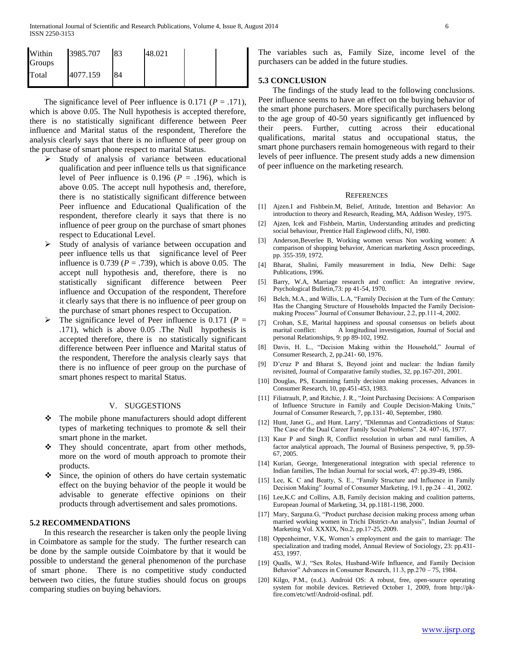| Within<br><b>Groups</b> | 3985.707 | 83 | 48.021 |  |
|-------------------------|----------|----|--------|--|
| Total                   | 4077.159 | 84 |        |  |

The significance level of Peer influence is  $0.171$  ( $P = .171$ ), which is above 0.05. The Null hypothesis is accepted therefore, there is no statistically significant difference between Peer influence and Marital status of the respondent, Therefore the analysis clearly says that there is no influence of peer group on the purchase of smart phone respect to marital Status.

- $\triangleright$  Study of analysis of variance between educational qualification and peer influence tells us that significance level of Peer influence is  $0.196$  ( $P = .196$ ), which is above 0.05. The accept null hypothesis and, therefore, there is no statistically significant difference between Peer influence and Educational Qualification of the respondent, therefore clearly it says that there is no influence of peer group on the purchase of smart phones respect to Educational Level.
- Study of analysis of variance between occupation and peer influence tells us that significance level of Peer influence is  $0.739$  ( $P = .739$ ), which is above 0.05. The accept null hypothesis and, therefore, there is no statistically significant difference between Peer influence and Occupation of the respondent, Therefore it clearly says that there is no influence of peer group on the purchase of smart phones respect to Occupation.
- The significance level of Peer influence is 0.171 ( $P =$ .171), which is above 0.05 .The Null hypothesis is accepted therefore, there is no statistically significant difference between Peer influence and Marital status of the respondent, Therefore the analysis clearly says that there is no influence of peer group on the purchase of smart phones respect to marital Status.

## V. SUGGESTIONS

- The mobile phone manufacturers should adopt different types of marketing techniques to promote & sell their smart phone in the market.
- They should concentrate, apart from other methods, more on the word of mouth approach to promote their products.
- Since, the opinion of others do have certain systematic effect on the buying behavior of the people it would be advisable to generate effective opinions on their products through advertisement and sales promotions.

#### **5.2 RECOMMENDATIONS**

 In this research the researcher is taken only the people living in Coimbatore as sample for the study. The further research can be done by the sample outside Coimbatore by that it would be possible to understand the general phenomenon of the purchase of smart phone. There is no competitive study conducted between two cities, the future studies should focus on groups comparing studies on buying behaviors.

The variables such as, Family Size, income level of the purchasers can be added in the future studies.

#### **5.3 CONCLUSION**

 The findings of the study lead to the following conclusions. Peer influence seems to have an effect on the buying behavior of the smart phone purchasers. More specifically purchasers belong to the age group of 40-50 years significantly get influenced by their peers. Further, cutting across their educational qualifications, marital status and occupational status, the smart phone purchasers remain homogeneous with regard to their levels of peer influence. The present study adds a new dimension of peer influence on the marketing research.

#### **REFERENCES**

- [1] Ajzen.I and Fishbein.M, Belief, Attitude, Intention and Behavior: An introduction to theory and Research, Reading, MA, Addison Wesley, 1975.
- [2] Ajzen, Icek and Fishbein, Martin, Understanding attitudes and predicting social behaviour, Prentice Hall Englewood cliffs, NJ, 1980.
- [3] Anderson,Beverlee B, Working women versus Non working women: A comparison of shopping behavior, American marketing Asscn proceedings, pp. 355-359, 1972.
- [4] Bharat, Shalini, Family measurement in India, New Delhi: Sage Publications, 1996.
- [5] Barry, W.A, Marriage research and conflict: An integrative review, Psychological Bulletin,73: pp 41-54, 1970.
- [6] Belch, M.A., and Willis, L.A, "Family Decision at the Turn of the Century: Has the Changing Structure of Households Impacted the Family Decisionmaking Process" Journal of Consumer Behaviour, 2.2, pp.111-4, 2002.
- [7] Crohan, S.E, Marital happiness and spousal consensus on beliefs about marital conflict: A longitudinal investigation, Journal of Social and personal Relationships, 9: pp 89-102, 1992.
- [8] Davis, H. L., "Decision Making within the Household," Journal of Consumer Research, 2, pp.241- 60, 1976.
- [9] D'cruz P and Bharat S, Beyond joint and nuclear: the Indian family revisited, Journal of Comparative family studies, 32, pp.167-201, 2001.
- [10] Douglas, PS, Examining family decision making processes, Advances in Consumer Research, 10, pp.451-453, 1983.
- [11] Filiatrault, P, and Ritchie, J. R., "Joint Purchasing Decisions: A Comparison of Influence Structure in Family and Couple Decision-Making Units," Journal of Consumer Research, 7, pp.131- 40, September, 1980.
- [12] Hunt, Janet G., and Hunt. Larry', "Dilemmas and Contradictions of Status: The Case of the Dual Career Family Social Problems". 24. 407-16, 1977.
- [13] Kaur P and Singh R, Conflict resolution in urban and rural families, A factor analytical approach, The Journal of Business perspective, 9, pp.59- 67, 2005.
- [14] Kurian, George, Intergenerational integration with special reference to Indian families, The Indian Journal for social work, 47: pp.39-49, 1986.
- [15] Lee, K. C and Beatty, S. E., "Family Structure and Influence in Family Decision Making" Journal of Consumer Marketing, 19.1, pp.24 – 41, 2002.
- [16] Lee, K.C and Collins, A.B, Family decision making and coalition patterns, European Journal of Marketing, 34, pp.1181-1198, 2000.
- [17] Mary, Sarguna.G, "Product purchase decision making process among urban married working women in Trichi District-An analysis", Indian Journal of Marketing Vol. XXXIX, No.2, pp.17-25, 2009.
- [18] Oppenheimer, V.K, Women's employment and the gain to marriage: The specialization and trading model, Annual Review of Sociology, 23: pp.431- 453, 1997.
- [19] Qualls, W.J, "Sex Roles, Husband-Wife Influence, and Family Decision Behavior" Advances in Consumer Research, 11.3, pp.270 – 75, 1984.
- [20] Kilgo, P.M., (n.d.). Android OS: A robust, free, open-source operating system for mobile devices. Retrieved October 1, 2009, from http://pkfire.com/etc/wtf/Android-osfinal. pdf.